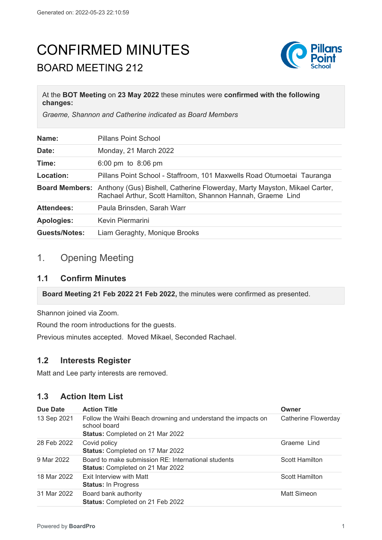# CONFIRMED MINUTES BOARD MEETING 212



#### At the **BOT Meeting** on **23 May 2022** these minutes were **confirmed with the following changes:**

*Graeme, Shannon and Catherine indicated as Board Members*

| Name:                | <b>Pillans Point School</b>                                                                                                                                    |
|----------------------|----------------------------------------------------------------------------------------------------------------------------------------------------------------|
| Date:                | Monday, 21 March 2022                                                                                                                                          |
| Time:                | 6:00 pm to 8:06 pm                                                                                                                                             |
| Location:            | Pillans Point School - Staffroom, 101 Maxwells Road Otumoetai Tauranga                                                                                         |
|                      | <b>Board Members:</b> Anthony (Gus) Bishell, Catherine Flowerday, Marty Mayston, Mikael Carter,<br>Rachael Arthur, Scott Hamilton, Shannon Hannah, Graeme Lind |
| <b>Attendees:</b>    | Paula Brinsden, Sarah Warr                                                                                                                                     |
| <b>Apologies:</b>    | Kevin Piermarini                                                                                                                                               |
| <b>Guests/Notes:</b> | Liam Geraghty, Monique Brooks                                                                                                                                  |

# 1. Opening Meeting

#### **1.1 Confirm Minutes**

**Board Meeting 21 Feb 2022 21 Feb 2022,** the minutes were confirmed as presented.

Shannon joined via Zoom.

Round the room introductions for the guests.

Previous minutes accepted. Moved Mikael, Seconded Rachael.

#### **1.2 Interests Register**

Matt and Lee party interests are removed.

# **1.3 Action Item List**

| <b>Due Date</b> | <b>Action Title</b>                                                                                               | Owner                 |
|-----------------|-------------------------------------------------------------------------------------------------------------------|-----------------------|
| 13 Sep 2021     | Follow the Waihi Beach drowning and understand the impacts on<br>school board<br>Status: Completed on 21 Mar 2022 | Catherine Flowerday   |
|                 |                                                                                                                   |                       |
| 28 Feb 2022     | Covid policy<br><b>Status: Completed on 17 Mar 2022</b>                                                           | Graeme Lind           |
| 9 Mar 2022      | Board to make submission RE: International students<br><b>Status: Completed on 21 Mar 2022</b>                    | <b>Scott Hamilton</b> |
| 18 Mar 2022     | Exit Interview with Matt<br><b>Status: In Progress</b>                                                            | <b>Scott Hamilton</b> |
| 31 Mar 2022     | Board bank authority<br>Status: Completed on 21 Feb 2022                                                          | <b>Matt Simeon</b>    |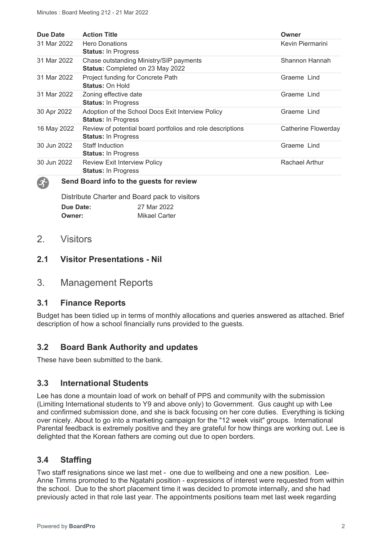| Due Date    | <b>Action Title</b>                                                                      | Owner                 |
|-------------|------------------------------------------------------------------------------------------|-----------------------|
| 31 Mar 2022 | <b>Hero Donations</b><br><b>Status: In Progress</b>                                      | Kevin Piermarini      |
| 31 Mar 2022 | Chase outstanding Ministry/SIP payments<br><b>Status: Completed on 23 May 2022</b>       | Shannon Hannah        |
| 31 Mar 2022 | Project funding for Concrete Path<br>Status: On Hold                                     | Graeme Lind           |
| 31 Mar 2022 | Zoning effective date<br><b>Status: In Progress</b>                                      | Graeme Lind           |
| 30 Apr 2022 | Adoption of the School Docs Exit Interview Policy<br><b>Status: In Progress</b>          | Graeme Lind           |
| 16 May 2022 | Review of potential board portfolios and role descriptions<br><b>Status: In Progress</b> | Catherine Flowerday   |
| 30 Jun 2022 | <b>Staff Induction</b><br><b>Status: In Progress</b>                                     | Graeme Lind           |
| 30 Jun 2022 | <b>Review Exit Interview Policy</b><br><b>Status: In Progress</b>                        | <b>Rachael Arthur</b> |

#### **Send Board info to the guests for review**

Distribute Charter and Board pack to visitors **Due Date:** 27 Mar 2022 **Owner:** Mikael Carter

# 2. Visitors

 $\mathcal{L}$ 

# **2.1 Visitor Presentations - Nil**

# 3. Management Reports

#### **3.1 Finance Reports**

Budget has been tidied up in terms of monthly allocations and queries answered as attached. Brief description of how a school financially runs provided to the guests.

# **3.2 Board Bank Authority and updates**

These have been submitted to the bank.

#### **3.3 International Students**

Lee has done a mountain load of work on behalf of PPS and community with the submission (Limiting International students to Y9 and above only) to Government. Gus caught up with Lee and confirmed submission done, and she is back focusing on her core duties. Everything is ticking over nicely. About to go into a marketing campaign for the "12 week visit" groups. International Parental feedback is extremely positive and they are grateful for how things are working out. Lee is delighted that the Korean fathers are coming out due to open borders.

# **3.4 Staffing**

Two staff resignations since we last met - one due to wellbeing and one a new position. Lee-Anne Timms promoted to the Ngatahi position - expressions of interest were requested from within the school. Due to the short placement time it was decided to promote internally, and she had previously acted in that role last year. The appointments positions team met last week regarding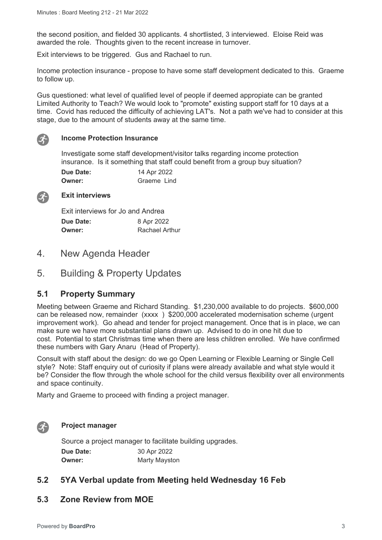the second position, and fielded 30 applicants. 4 shortlisted, 3 interviewed. Eloise Reid was awarded the role. Thoughts given to the recent increase in turnover.

Exit interviews to be triggered. Gus and Rachael to run.

Income protection insurance - propose to have some staff development dedicated to this. Graeme to follow up.

Gus questioned: what level of qualified level of people if deemed appropiate can be granted Limited Authority to Teach? We would look to "promote" existing support staff for 10 days at a time. Covid has reduced the difficulty of achieving LAT's. Not a path we've had to consider at this stage, due to the amount of students away at the same time.



#### **Income Protection Insurance**

Investigate some staff development/visitor talks regarding income protection insurance. Is it something that staff could benefit from a group buy situation?

| <b>Due Date:</b> | 14 Apr 2022 |
|------------------|-------------|
| <b>Owner:</b>    | Graeme Lind |



#### **Exit interviews**

| Exit interviews for Jo and Andrea |                |  |
|-----------------------------------|----------------|--|
| Due Date:                         | 8 Apr 2022     |  |
| <b>Owner:</b>                     | Rachael Arthur |  |

- 4. New Agenda Header
- 5. Building & Property Updates

#### **5.1 Property Summary**

Meeting between Graeme and Richard Standing. \$1,230,000 available to do projects. \$600,000 can be released now, remainder (xxxx ) \$200,000 accelerated modernisation scheme (urgent improvement work). Go ahead and tender for project management. Once that is in place, we can make sure we have more substantial plans drawn up. Advised to do in one hit due to cost. Potential to start Christmas time when there are less children enrolled. We have confirmed these numbers with Gary Anaru (Head of Property).

Consult with staff about the design: do we go Open Learning or Flexible Learning or Single Cell style? Note: Staff enquiry out of curiosity if plans were already available and what style would it be? Consider the flow through the whole school for the child versus flexibility over all environments and space continuity.

Marty and Graeme to proceed with finding a project manager.



#### **Project manager**

Source a project manager to facilitate building upgrades. **Due Date:** 30 Apr 2022 **Owner:** Marty Mayston

#### **5.2 5YA Verbal update from Meeting held Wednesday 16 Feb**

#### **5.3 Zone Review from MOE**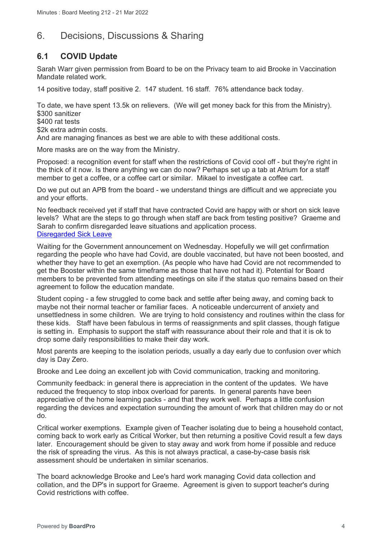# 6. Decisions, Discussions & Sharing

# **6.1 COVID Update**

Sarah Warr given permission from Board to be on the Privacy team to aid Brooke in Vaccination Mandate related work.

14 positive today, staff positive 2. 147 student. 16 staff. 76% attendance back today.

To date, we have spent 13.5k on relievers. (We will get money back for this from the Ministry). \$300 sanitizer

\$400 rat tests

\$2k extra admin costs.

And are managing finances as best we are able to with these additional costs.

More masks are on the way from the Ministry.

Proposed: a recognition event for staff when the restrictions of Covid cool off - but they're right in the thick of it now. Is there anything we can do now? Perhaps set up a tab at Atrium for a staff member to get a coffee, or a coffee cart or similar. Mikael to investigate a coffee cart.

Do we put out an APB from the board - we understand things are difficult and we appreciate you and your efforts.

No feedback received yet if staff that have contracted Covid are happy with or short on sick leave levels? What are the steps to go through when staff are back from testing positive? Graeme and Sarah to confirm disregarded leave situations and application process. [Disregarded Sick Leave](https://temahau.govt.nz/covid-19/advice-schools-and-kura/managing-staff/managing-staff-leave-due-covid-19/disregarded-sick-leave)

Waiting for the Government announcement on Wednesday. Hopefully we will get confirmation regarding the people who have had Covid, are double vaccinated, but have not been boosted, and whether they have to get an exemption. (As people who have had Covid are not recommended to get the Booster within the same timeframe as those that have not had it). Potential for Board members to be prevented from attending meetings on site if the status quo remains based on their agreement to follow the education mandate.

Student coping - a few struggled to come back and settle after being away, and coming back to maybe not their normal teacher or familiar faces. A noticeable undercurrent of anxiety and unsettledness in some children. We are trying to hold consistency and routines within the class for these kids. Staff have been fabulous in terms of reassignments and split classes, though fatigue is setting in. Emphasis to support the staff with reassurance about their role and that it is ok to drop some daily responsibilities to make their day work.

Most parents are keeping to the isolation periods, usually a day early due to confusion over which day is Day Zero.

Brooke and Lee doing an excellent job with Covid communication, tracking and monitoring.

Community feedback: in general there is appreciation in the content of the updates. We have reduced the frequency to stop inbox overload for parents. In general parents have been appreciative of the home learning packs - and that they work well. Perhaps a little confusion regarding the devices and expectation surrounding the amount of work that children may do or not do.

Critical worker exemptions. Example given of Teacher isolating due to being a household contact, coming back to work early as Critical Worker, but then returning a positive Covid result a few days later. Encouragement should be given to stay away and work from home if possible and reduce the risk of spreading the virus. As this is not always practical, a case-by-case basis risk assessment should be undertaken in similar scenarios.

The board acknowledge Brooke and Lee's hard work managing Covid data collection and collation, and the DP's in support for Graeme. Agreement is given to support teacher's during Covid restrictions with coffee.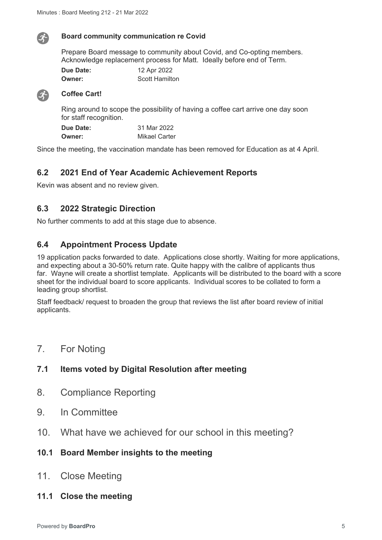

#### **Board community communication re Covid**

Prepare Board message to community about Covid, and Co-opting members. Acknowledge replacement process for Matt. Ideally before end of Term.

| Due Date: | 12 Apr 2022           |
|-----------|-----------------------|
| Owner:    | <b>Scott Hamilton</b> |



#### **Coffee Cart!**

Ring around to scope the possibility of having a coffee cart arrive one day soon for staff recognition.

| Due Date: | 31 Mar 2022          |
|-----------|----------------------|
| Owner:    | <b>Mikael Carter</b> |

Since the meeting, the vaccination mandate has been removed for Education as at 4 April.

### **6.2 2021 End of Year Academic Achievement Reports**

Kevin was absent and no review given.

# **6.3 2022 Strategic Direction**

No further comments to add at this stage due to absence.

# **6.4 Appointment Process Update**

19 application packs forwarded to date. Applications close shortly. Waiting for more applications, and expecting about a 30-50% return rate. Quite happy with the calibre of applicants thus far. Wayne will create a shortlist template. Applicants will be distributed to the board with a score sheet for the individual board to score applicants. Individual scores to be collated to form a leading group shortlist.

Staff feedback/ request to broaden the group that reviews the list after board review of initial applicants.

7. For Noting

# **7.1 Items voted by Digital Resolution after meeting**

- 8. Compliance Reporting
- 9. In Committee
- 10. What have we achieved for our school in this meeting?

# **10.1 Board Member insights to the meeting**

- 11. Close Meeting
- **11.1 Close the meeting**